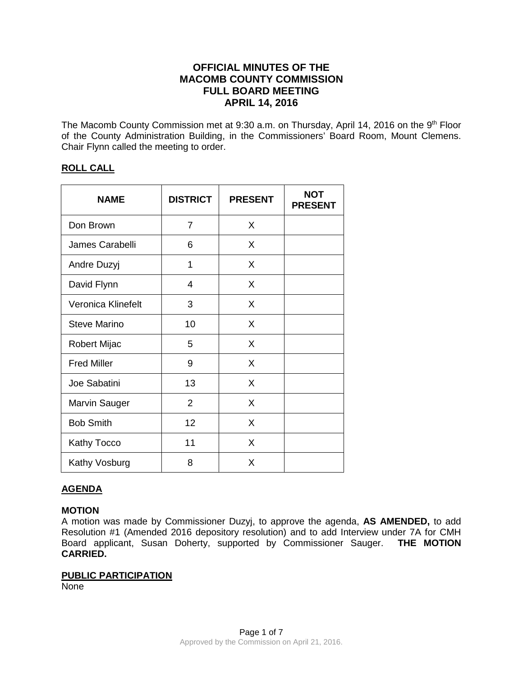# **OFFICIAL MINUTES OF THE MACOMB COUNTY COMMISSION FULL BOARD MEETING APRIL 14, 2016**

The Macomb County Commission met at 9:30 a.m. on Thursday, April 14, 2016 on the 9<sup>th</sup> Floor of the County Administration Building, in the Commissioners' Board Room, Mount Clemens. Chair Flynn called the meeting to order.

## **ROLL CALL**

| <b>NAME</b>          | <b>DISTRICT</b> | <b>PRESENT</b> | <b>NOT</b><br><b>PRESENT</b> |
|----------------------|-----------------|----------------|------------------------------|
| Don Brown            | 7               | X              |                              |
| James Carabelli      | 6               | X              |                              |
| Andre Duzyj          | 1               | X              |                              |
| David Flynn          | 4               | X              |                              |
| Veronica Klinefelt   | 3               | X              |                              |
| <b>Steve Marino</b>  | 10              | X              |                              |
| <b>Robert Mijac</b>  | 5               | X              |                              |
| <b>Fred Miller</b>   | 9               | X              |                              |
| Joe Sabatini         | 13              | X              |                              |
| <b>Marvin Sauger</b> | $\overline{2}$  | X              |                              |
| <b>Bob Smith</b>     | 12              | X              |                              |
| <b>Kathy Tocco</b>   | 11              | X              |                              |
| Kathy Vosburg        | 8               | X              |                              |

## **AGENDA**

## **MOTION**

A motion was made by Commissioner Duzyj, to approve the agenda, **AS AMENDED,** to add Resolution #1 (Amended 2016 depository resolution) and to add Interview under 7A for CMH Board applicant, Susan Doherty, supported by Commissioner Sauger. **THE MOTION CARRIED.** 

## **PUBLIC PARTICIPATION**

None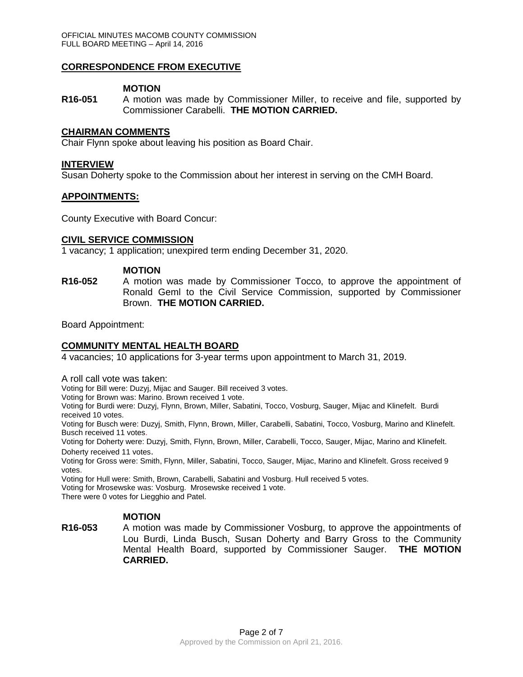## **CORRESPONDENCE FROM EXECUTIVE**

## **MOTION**

**R16-051** A motion was made by Commissioner Miller, to receive and file, supported by Commissioner Carabelli. **THE MOTION CARRIED.** 

## **CHAIRMAN COMMENTS**

Chair Flynn spoke about leaving his position as Board Chair.

#### **INTERVIEW**

Susan Doherty spoke to the Commission about her interest in serving on the CMH Board.

#### **APPOINTMENTS:**

County Executive with Board Concur:

## **CIVIL SERVICE COMMISSION**

1 vacancy; 1 application; unexpired term ending December 31, 2020.

#### **MOTION**

**R16-052** A motion was made by Commissioner Tocco, to approve the appointment of Ronald Geml to the Civil Service Commission, supported by Commissioner Brown. **THE MOTION CARRIED.**

Board Appointment:

## **COMMUNITY MENTAL HEALTH BOARD**

4 vacancies; 10 applications for 3-year terms upon appointment to March 31, 2019.

A roll call vote was taken:

Voting for Bill were: Duzyj, Mijac and Sauger. Bill received 3 votes.

Voting for Brown was: Marino. Brown received 1 vote.

Voting for Burdi were: Duzyj, Flynn, Brown, Miller, Sabatini, Tocco, Vosburg, Sauger, Mijac and Klinefelt. Burdi received 10 votes.

Voting for Busch were: Duzyj, Smith, Flynn, Brown, Miller, Carabelli, Sabatini, Tocco, Vosburg, Marino and Klinefelt. Busch received 11 votes.

Voting for Doherty were: Duzyj, Smith, Flynn, Brown, Miller, Carabelli, Tocco, Sauger, Mijac, Marino and Klinefelt. Doherty received 11 votes.

Voting for Gross were: Smith, Flynn, Miller, Sabatini, Tocco, Sauger, Mijac, Marino and Klinefelt. Gross received 9 votes.

Voting for Hull were: Smith, Brown, Carabelli, Sabatini and Vosburg. Hull received 5 votes.

Voting for Mrosewske was: Vosburg. Mrosewske received 1 vote.

There were 0 votes for Liegghio and Patel.

## **MOTION**

**R16-053** A motion was made by Commissioner Vosburg, to approve the appointments of Lou Burdi, Linda Busch, Susan Doherty and Barry Gross to the Community Mental Health Board, supported by Commissioner Sauger. **THE MOTION CARRIED.**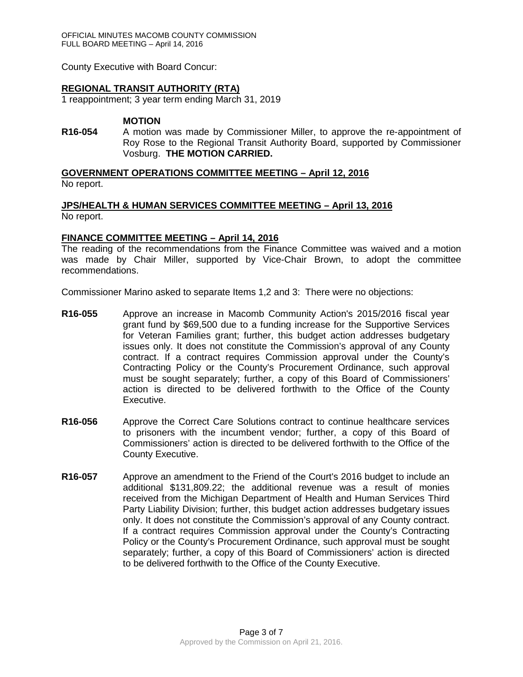OFFICIAL MINUTES MACOMB COUNTY COMMISSION FULL BOARD MEETING – April 14, 2016

County Executive with Board Concur:

## **REGIONAL TRANSIT AUTHORITY (RTA)**

1 reappointment; 3 year term ending March 31, 2019

#### **MOTION**

**R16-054** A motion was made by Commissioner Miller, to approve the re-appointment of Roy Rose to the Regional Transit Authority Board, supported by Commissioner Vosburg. **THE MOTION CARRIED.**

**GOVERNMENT OPERATIONS COMMITTEE MEETING – April 12, 2016**

No report.

## **JPS/HEALTH & HUMAN SERVICES COMMITTEE MEETING – April 13, 2016** No report.

#### **FINANCE COMMITTEE MEETING – April 14, 2016**

The reading of the recommendations from the Finance Committee was waived and a motion was made by Chair Miller, supported by Vice-Chair Brown, to adopt the committee recommendations.

Commissioner Marino asked to separate Items 1,2 and 3: There were no objections:

- **R16-055** Approve an increase in Macomb Community Action's 2015/2016 fiscal year grant fund by \$69,500 due to a funding increase for the Supportive Services for Veteran Families grant; further, this budget action addresses budgetary issues only. It does not constitute the Commission's approval of any County contract. If a contract requires Commission approval under the County's Contracting Policy or the County's Procurement Ordinance, such approval must be sought separately; further, a copy of this Board of Commissioners' action is directed to be delivered forthwith to the Office of the County Executive.
- **R16-056** Approve the Correct Care Solutions contract to continue healthcare services to prisoners with the incumbent vendor; further, a copy of this Board of Commissioners' action is directed to be delivered forthwith to the Office of the County Executive.
- **R16-057** Approve an amendment to the Friend of the Court's 2016 budget to include an additional \$131,809.22; the additional revenue was a result of monies received from the Michigan Department of Health and Human Services Third Party Liability Division; further, this budget action addresses budgetary issues only. It does not constitute the Commission's approval of any County contract. If a contract requires Commission approval under the County's Contracting Policy or the County's Procurement Ordinance, such approval must be sought separately; further, a copy of this Board of Commissioners' action is directed to be delivered forthwith to the Office of the County Executive.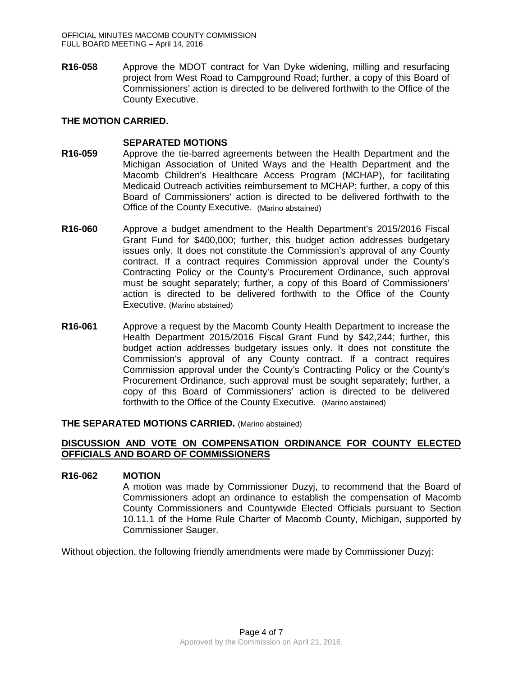**R16-058** Approve the MDOT contract for Van Dyke widening, milling and resurfacing project from West Road to Campground Road; further, a copy of this Board of Commissioners' action is directed to be delivered forthwith to the Office of the County Executive.

## **THE MOTION CARRIED.**

## **SEPARATED MOTIONS**

- **R16-059** Approve the tie-barred agreements between the Health Department and the Michigan Association of United Ways and the Health Department and the Macomb Children's Healthcare Access Program (MCHAP), for facilitating Medicaid Outreach activities reimbursement to MCHAP; further, a copy of this Board of Commissioners' action is directed to be delivered forthwith to the Office of the County Executive. (Marino abstained)
- **R16-060** Approve a budget amendment to the Health Department's 2015/2016 Fiscal Grant Fund for \$400,000; further, this budget action addresses budgetary issues only. It does not constitute the Commission's approval of any County contract. If a contract requires Commission approval under the County's Contracting Policy or the County's Procurement Ordinance, such approval must be sought separately; further, a copy of this Board of Commissioners' action is directed to be delivered forthwith to the Office of the County Executive. (Marino abstained)
- **R16-061** Approve a request by the Macomb County Health Department to increase the Health Department 2015/2016 Fiscal Grant Fund by \$42,244; further, this budget action addresses budgetary issues only. It does not constitute the Commission's approval of any County contract. If a contract requires Commission approval under the County's Contracting Policy or the County's Procurement Ordinance, such approval must be sought separately; further, a copy of this Board of Commissioners' action is directed to be delivered forthwith to the Office of the County Executive. (Marino abstained)

## **THE SEPARATED MOTIONS CARRIED.** (Marino abstained)

## **DISCUSSION AND VOTE ON COMPENSATION ORDINANCE FOR COUNTY ELECTED OFFICIALS AND BOARD OF COMMISSIONERS**

## **R16-062 MOTION**

A motion was made by Commissioner Duzyj, to recommend that the Board of Commissioners adopt an ordinance to establish the compensation of Macomb County Commissioners and Countywide Elected Officials pursuant to Section 10.11.1 of the Home Rule Charter of Macomb County, Michigan, supported by Commissioner Sauger.

Without objection, the following friendly amendments were made by Commissioner Duzyj: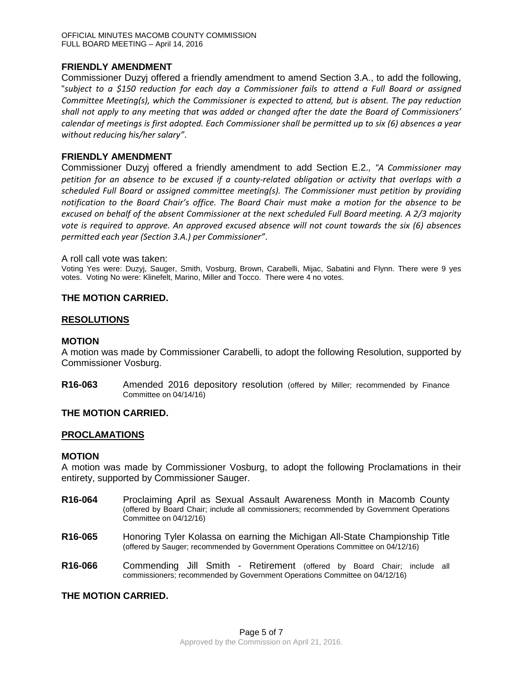## **FRIENDLY AMENDMENT**

Commissioner Duzyj offered a friendly amendment to amend Section 3.A., to add the following, "*subject to a \$150 reduction for each day a Commissioner fails to attend a Full Board or assigned Committee Meeting(s), which the Commissioner is expected to attend, but is absent. The pay reduction shall not apply to any meeting that was added or changed after the date the Board of Commissioners' calendar of meetings is first adopted. Each Commissioner shall be permitted up to six (6) absences a year without reducing his/her salary"*.

## **FRIENDLY AMENDMENT**

Commissioner Duzyj offered a friendly amendment to add Section E.2.*, "A Commissioner may petition for an absence to be excused if a county-related obligation or activity that overlaps with a scheduled Full Board or assigned committee meeting(s). The Commissioner must petition by providing notification to the Board Chair's office. The Board Chair must make a motion for the absence to be excused on behalf of the absent Commissioner at the next scheduled Full Board meeting. A 2/3 majority vote is required to approve. An approved excused absence will not count towards the six (6) absences permitted each year (Section 3.A.) per Commissioner"*.

#### A roll call vote was taken:

Voting Yes were: Duzyj, Sauger, Smith, Vosburg, Brown, Carabelli, Mijac, Sabatini and Flynn. There were 9 yes votes. Voting No were: Klinefelt, Marino, Miller and Tocco. There were 4 no votes.

## **THE MOTION CARRIED.**

## **RESOLUTIONS**

## **MOTION**

A motion was made by Commissioner Carabelli, to adopt the following Resolution, supported by Commissioner Vosburg.

**R16-063** Amended 2016 depository resolution (offered by Miller; recommended by Finance Committee on 04/14/16)

## **THE MOTION CARRIED.**

## **PROCLAMATIONS**

## **MOTION**

A motion was made by Commissioner Vosburg, to adopt the following Proclamations in their entirety, supported by Commissioner Sauger.

- **R16-064** Proclaiming April as Sexual Assault Awareness Month in Macomb County (offered by Board Chair; include all commissioners; recommended by Government Operations Committee on 04/12/16)
- **R16-065** Honoring Tyler Kolassa on earning the Michigan All-State Championship Title (offered by Sauger; recommended by Government Operations Committee on 04/12/16)
- **R16-066** Commending Jill Smith Retirement (offered by Board Chair; include all commissioners; recommended by Government Operations Committee on 04/12/16)

## **THE MOTION CARRIED.**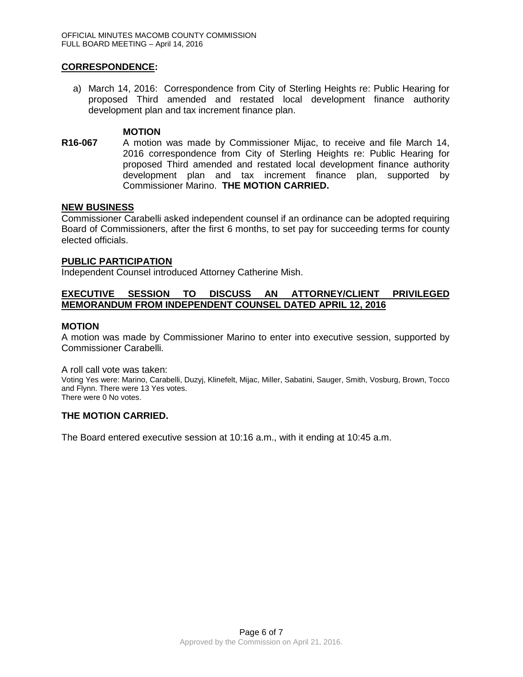## **CORRESPONDENCE:**

a) March 14, 2016: Correspondence from City of Sterling Heights re: Public Hearing for proposed Third amended and restated local development finance authority development plan and tax increment finance plan.

## **MOTION**

**R16-067** A motion was made by Commissioner Mijac, to receive and file March 14, 2016 correspondence from City of Sterling Heights re: Public Hearing for proposed Third amended and restated local development finance authority development plan and tax increment finance plan, supported by Commissioner Marino. **THE MOTION CARRIED.**

## **NEW BUSINESS**

Commissioner Carabelli asked independent counsel if an ordinance can be adopted requiring Board of Commissioners, after the first 6 months, to set pay for succeeding terms for county elected officials.

## **PUBLIC PARTICIPATION**

Independent Counsel introduced Attorney Catherine Mish.

## **EXECUTIVE SESSION TO DISCUSS AN ATTORNEY/CLIENT PRIVILEGED MEMORANDUM FROM INDEPENDENT COUNSEL DATED APRIL 12, 2016**

## **MOTION**

A motion was made by Commissioner Marino to enter into executive session, supported by Commissioner Carabelli.

A roll call vote was taken:

Voting Yes were: Marino, Carabelli, Duzyj, Klinefelt, Mijac, Miller, Sabatini, Sauger, Smith, Vosburg, Brown, Tocco and Flynn. There were 13 Yes votes. There were 0 No votes.

# **THE MOTION CARRIED.**

The Board entered executive session at 10:16 a.m., with it ending at 10:45 a.m.